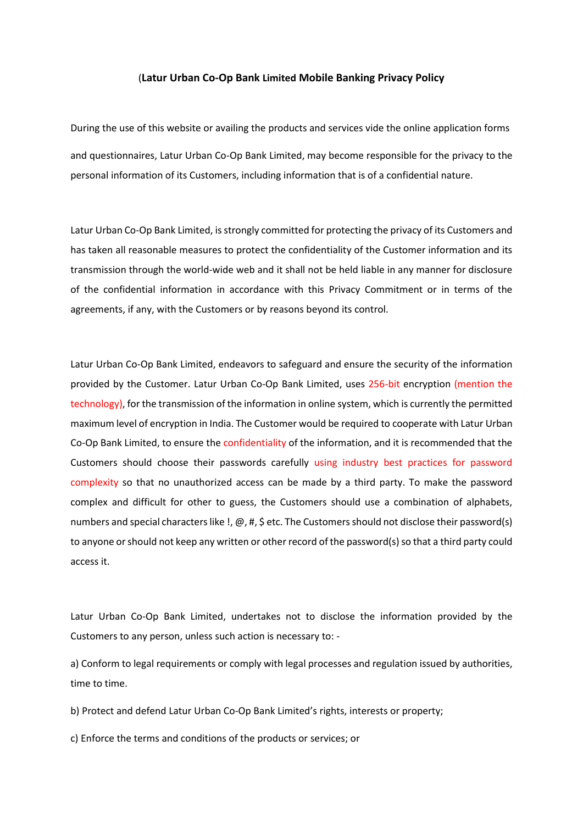## (**Latur Urban Co-Op Bank Limited Mobile Banking Privacy Policy**

During the use of this website or availing the products and services vide the online application forms and questionnaires, Latur Urban Co-Op Bank Limited, may become responsible for the privacy to the personal information of its Customers, including information that is of a confidential nature.

Latur Urban Co-Op Bank Limited, is strongly committed for protecting the privacy of its Customers and has taken all reasonable measures to protect the confidentiality of the Customer information and its transmission through the world-wide web and it shall not be held liable in any manner for disclosure of the confidential information in accordance with this Privacy Commitment or in terms of the agreements, if any, with the Customers or by reasons beyond its control.

Latur Urban Co-Op Bank Limited, endeavors to safeguard and ensure the security of the information provided by the Customer. Latur Urban Co-Op Bank Limited, uses 256-bit encryption (mention the technology), for the transmission of the information in online system, which is currently the permitted maximum level of encryption in India. The Customer would be required to cooperate with Latur Urban Co-Op Bank Limited, to ensure the confidentiality of the information, and it is recommended that the Customers should choose their passwords carefully using industry best practices for password complexity so that no unauthorized access can be made by a third party. To make the password complex and difficult for other to guess, the Customers should use a combination of alphabets, numbers and special characters like !,  $\omega$ , #, \$ etc. The Customers should not disclose their password(s) to anyone orshould not keep any written or other record of the password(s) so that a third party could access it.

Latur Urban Co-Op Bank Limited, undertakes not to disclose the information provided by the Customers to any person, unless such action is necessary to: -

a) Conform to legal requirements or comply with legal processes and regulation issued by authorities, time to time.

b) Protect and defend Latur Urban Co-Op Bank Limited's rights, interests or property;

c) Enforce the terms and conditions of the products or services; or